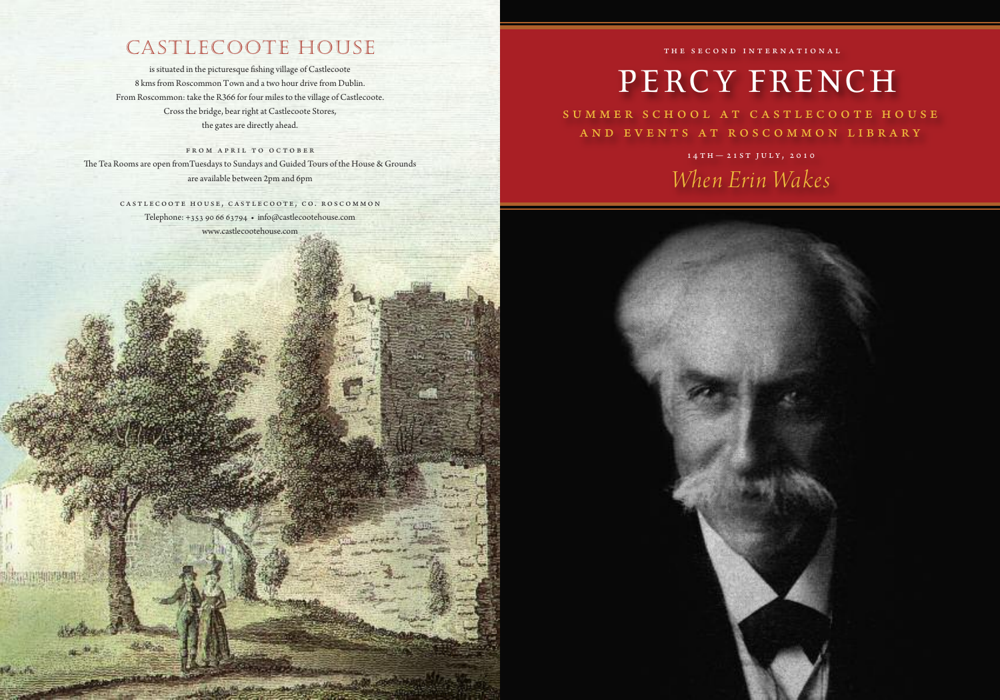### Castlecoote House

is situated in the picturesque fishing village of Castlecoote 8 kms from Roscommon Town and a two hour drive from Dublin. From Roscommon: take the R366 for four miles to the village of Castlecoote. Crossthe bridge, bear right at Castlecoote Stores, the gates are directly ahead.

FROM APRIL TO OCTOBER The Tea Rooms are open fromTuesdays to Sundays and Guided Tours of the House & Grounds are available between 2pm and 6pm

> CASTLECOOTE HOUSE, CASTLECOOTE, CO. ROSCOMMON Telephone: +353 90 66 63794 • info@castlecootehouse.com www.castlecootehouse.com

skaansmaans

### THE S E C O N D i n t e r n a t i o n a l

# PERCY FRENCH

SUMMER SCHOOL AT CASTLECOOTE HOUSE a n d e v e n t s a t r o s c o m m o n l i b r a r y

> $14 TH - 21 ST JULY, 2010$ *When Erin Wakes*

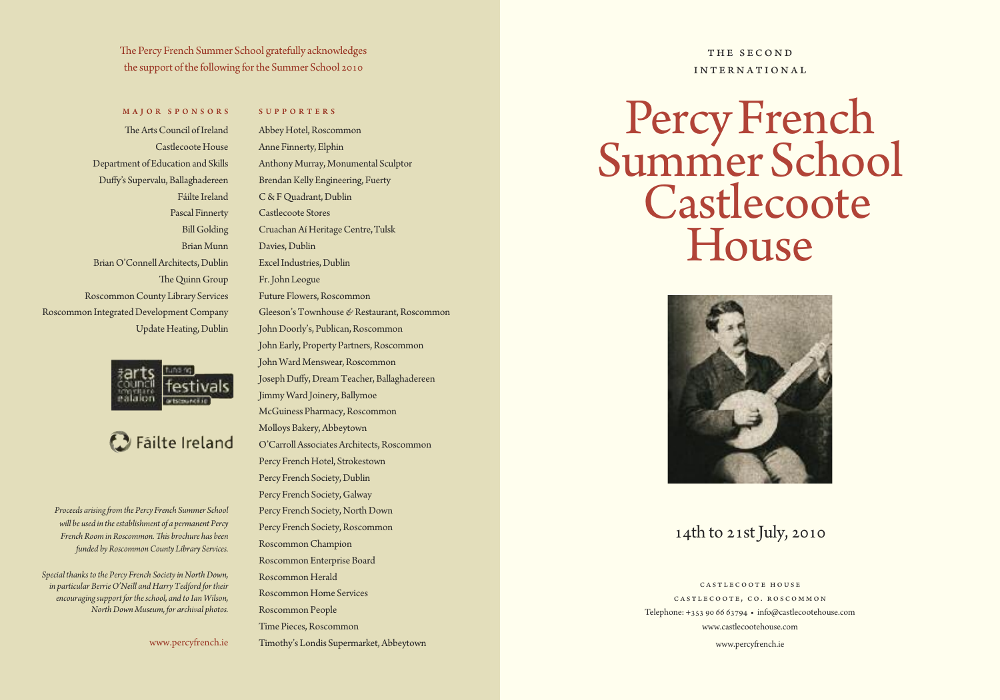The Percy French Summer School gratefully acknowledges the support of the following for the Summer School 2010

### MAJOR SPONSORS

### S U P P O R T E R S

The Arts Council of Ireland Castlecoote House Department of Education and Skills Duffy's Supervalu, Ballaghadereen Fáilte Ireland Pascal Finnerty Bill Golding BrianMunn Brian O'Connell Architects, Dublin The Quinn Group RoscommonCounty Library Services Roscommon Integrated Development Company Update Heating, Dublin



### **C** Failte Ireland

*Proceeds arising Hom the Percy French Summer School will be used in theestablishment of a permanent Percy FrenchRoom inRoscommon.Eis brochure has been funded byRoscommonCounty Library Services.*

*Special thanks to the Percy French Societyin NorthDown, in particular BerrieO'Neill and Harry Tedford fortheir encouragingsupport fortheschool, and to Ian Wilson, NorthDown Museum, for archival photos.*

www.percyfrench.ie

AbbeyHotel,Roscommon Anne Finnerty, Elphin Anthony Murray, Monumental Sculptor Brendan Kelly Engineering, Fuerty C & F Quadrant, Dublin Castlecoote Stores Cruachan Aí Heritage Centre, Tulsk Davies, Dublin Excel Industries, Dublin Fr.John Leogue Future Flowers, Roscommon Gleeson'sTownhouse*&*Restaurant,Roscommon John Doorly's, Publican, Roscommon John Early, Property Partners, Roscommon John Ward Menswear, Roscommon Joseph Duffy, Dream Teacher, Ballaghadereen JimmyWard Joinery,Ballymoe McGuiness Pharmacy, Roscommon Molloys Bakery, Abbeytown O'Carroll Associates Architects, Roscommon Percy French Hotel, Strokestown Percy French Society, Dublin Percy French Society, Galway Percy French Society, North Down Percy French Society, Roscommon RoscommonChampion Roscommon Enterprise Board Roscommon Herald Roscommon Home Services Roscommon People

Time Pieces, Roscommon

Timothy's Londis Supermarket,Abbeytown

### THE SECOND int e rnat ional

# Percy French Summer School **Castlecoote** House



### 14th to 21st July, 2010

CASTLECOOTE HOUSE CASTLECOOTE, CO. ROSCOMMON Telephone: +353 90 66 63794 • info@castlecootehouse.com www.castlecootehouse.com

www.percyfrench.ie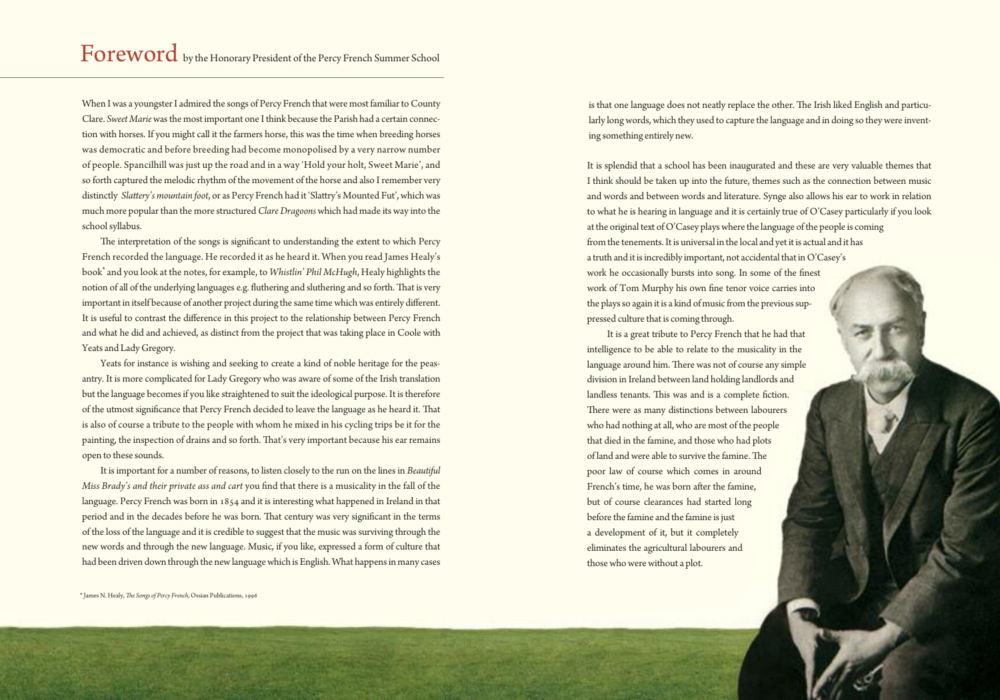When I was a youngster I admired the songs of Percy French that were most familiar to County Clare. *Sweet Marie*wasthemost important one Ithink because the Parish had a certain connection with horses. If you might call it the farmers horse, this was the time when breeding horses was democratic and before breeding had become monopolised by a very narrow number of people. Spancilhill was just up the road and in a way 'Hold your holt, Sweet Marie', and so forth captured the melodic rhythm of the movement of the horse and also I remember very distinctly *Slattery's mountain foot*, or as Percy French had it 'Slattry's Mounted Fut', which was much more popular than the more structured *Clare Dragoons* which had made its way into the schoolsyllabus.

The interpretation of the songs is significant to understanding the extent to which Percy French recorded the language. He recorded it as he heard it. When you read James Healy's book<sup>\*</sup> and you look at the notes, for example, to *Whistlin' Phil McHugh*, Healy highlights the notion of all of the underlying languages e.g. fluthering and sluthering and so forth. That is very important in itself because of another project during the same time which was entirely different. It is useful to contrast the difference in this project to the relationship between Percy French and what he did and achieved, as distinct from the project that was taking place in Coole with Yeats and Lady Gregory.

Yeats for instance is wishing and seeking to create a kind of noble heritage for the peasantry. It is more complicated for Lady Gregory who was aware of some of the Irish translation but the language becomes if you like straightened to suit the ideological purpose. It is therefore of the utmost significance that Percy French decided to leave the language as he heard it. That is also of course a tribute to the people with whom he mixed in his cycling trips be it for the painting, the inspection of drains and so forth. That's very important because his ear remains open to these sounds.

It is important for a number of reasons, to listen closely to the run on the lines in *Beautiful Miss Brady's and their private ass and cart you find that there is a musicality in the fall of the* language. Percy French was born in 1854 and it is interesting what happened in Ireland in that period and in the decades before he was born. That century was very significant in the terms of the loss of the language and it is credible to suggest that the music was surviving through the new words and through the new language. Music, if you like, expressed a form of culture that had been driven down through the new language which is English. What happens in many cases is that one language does not neatly replace the other. The Irish liked English and particularly long words, which they used to capture the language and in doing so they were inventing something entirely new.

It is splendid that a school has been inaugurated and these are very valuable themes that I think should be taken up into the future, themes such as the connection between music and words and between words and literature. Synge also allows his ear to work in relation to what he is hearing in language and it is certainly true of O'Casey particularly if you look at the original text of O'Casey plays where the language of the people is coming from the tenements. It is universal in the local and yet it is actual and it has a truth and it is incredibly important, not accidental that in O'Casey's work he occasionally bursts into song. In some of the finest work of Tom Murphy his own fine tenor voice carries into the plays so again it is a kind of music from the previous suppressed culture that is coming through.

It is a great tribute to Percy French that he had that intelligence to be able to relate to the musicality in the language around him. There was not of course any simple division in Ireland between land holding landlords and landless tenants. This was and is a complete fiction. There were as many distinctions between labourers who had nothing at all, who are most of the people that died in the famine, and those who had plots of land and were able to survive the famine. The poor law of course which comes in around French's time, he was born after the famine, but of course clearances had started long before the famine and the famine is just a development of it, but it completely eliminates the agricultural labourers and thosewhowerewithout a plot.

\*James N. Healy,*Ee Songs of Percy French*, Ossian Publications, 1996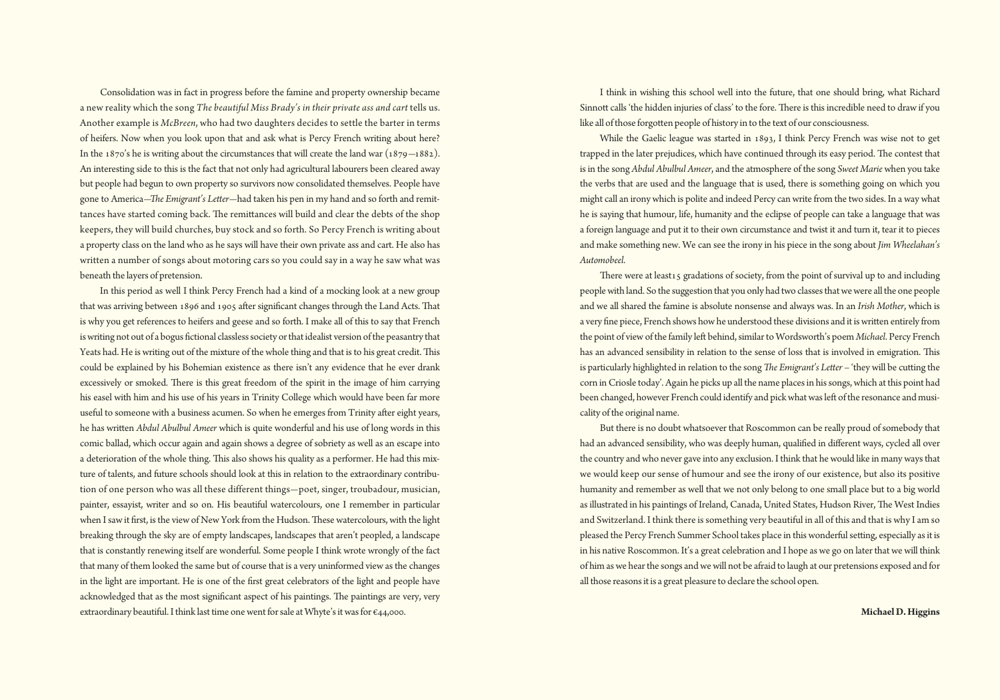Consolidation was in fact in progress before the famine and property ownership became a new reality which the song *The beautiful Miss Brady's in their private ass and cart* tells us. Another example is *McBreen*, who had two daughters decides to settle the barter in terms of heifers. Now when you look upon that and ask what is Percy French writing about here? In the 1870's he is writing about the circumstances that will create the land war  $(1879-1882)$ . An interesting side to this is the fact that not only had agricultural labourers been cleared away but people had begun to own property so survivors now consolidated themselves. People have gone to America-*The Emigrant's Letter*-had taken his pen in my hand and so forth and remittances have started coming back. The remittances will build and clear the debts of the shop keepers, they will build churches, buy stock and so forth. So Percy French is writing about a property class on the land who as he says will have their own private ass and cart. He also has written a number of songs about motoring cars so you could say in a way he saw what was beneath the layers of pretension.

In this period as well I think Percy French had a kind of a mocking look at a new group that was arriving between 1896 and 1905 after significant changes through the Land Acts. That is why you get references to heifers and geese and so forth. I make all of this to say that French is writing not out of a bogus fictional classless society or that idealist version of the peasantry that Yeats had. He is writing out of the mixture of the whole thing and that is to his great credit. This could be explained by his Bohemian existence as there isn't any evidence that he ever drank excessively or smoked. There is this great freedom of the spirit in the image of him carrying his easel with him and his use of his years in Trinity College which would have been far more useful to someone with a business acumen. So when he emerges from Trinity after eight years, he has written *Abdul Abulbul Ameer* which is quite wonderful and his use of long words in this comic ballad, which occur again and again shows a degree of sobriety as well as an escape into a deterioration of the whole thing. This also shows his quality as a performer. He had this mixture of talents, and future schools should look at this in relation to the extraordinary contribution of one person who was all these different things–poet, singer, troubadour, musician, painter, essayist, writer and so on. His beautiful watercolours, one I remember in particular when I saw it first, is the view of New York from the Hudson. These watercolours, with the light breaking through the sky are of empty landscapes, landscapes that aren't peopled, a landscape that is constantly renewing itself are wonderful. Some people I think wrote wrongly of the fact that many of them looked the same but of course that is a very uninformed view as the changes in the light are important. He is one of the first great celebrators of the light and people have acknowledged that as the most significant aspect of his paintings. The paintings are very, very extraordinary beautiful. I think last time one went for sale at Whyte's it was for €44,000.

I think in wishing this school well into the future, that one should bring, what Richard Sinnott calls 'the hidden injuries of class' to the fore. There is this incredible need to draw if you like all of those forgotten people of history in to the text of our consciousness.

While the Gaelic league was started in 1893, I think Percy French was wise not to get trapped in the later prejudices, which have continued through its easy period. The contest that isin the song *Abdul Abulbul Ameer*, and the atmosphere of the song *Sweet Marie* when you take the verbs that are used and the language that is used, there is something going on which you might call an irony which is polite and indeed Percy can write from the two sides. In a way what he is saying that humour, life, humanity and the eclipse of people can take a language that was a foreign language and put it to their own circumstance and twist it and turn it, tear it to pieces and make something new. We can see the irony in his piece in the song about *Jim Wheelahan's Automobeel*.

There were at least15 gradations of society, from the point of survival up to and including people with land. So the suggestion that you only had two classes that we were all the one people and we all shared the famine is absolute nonsense and always was. In an *Irish Mother*, which is a very fine piece, French shows how he understood these divisions and it is written entirely from the point of view of the family left behind, similar to Wordsworth's poem *Michael*. Percy French has an advanced sensibility in relation to the sense of loss that is involved in emigration. Ris is particularly highlighted in relation to the song *The Emigrant's Letter* – 'they will be cutting the corn in Criosle today'. Again he picks up all the name places in his songs, which at this point had been changed, however French could identify and pick what was left of the resonance and musicality of the original name.

But there is no doubt whatsoever that Roscommon can be really proud of somebody that had an advanced sensibility, who was deeply human, qualified in different ways, cycled all over the country and who never gave into any exclusion. I think that he would like in many ways that we would keep our sense of humour and see the irony of our existence, but also its positive humanity and remember as well that we not only belong to one small place but to a big world as illustrated in his paintings of Ireland, Canada, United States, Hudson River, The West Indies and Switzerland. I think there is something very beautiful in all of this and that is why I am so pleased the Percy French Summer School takes place in this wonderful setting, especially as it is in his native Roscommon. It's a great celebration and I hope as we go on later that we will think of himaswe hearthe songs andwewill not be afraid to laugh at our pretensions exposed and for all those reasons it is a great pleasure to declare the school open.

**MichaelD.Higgins**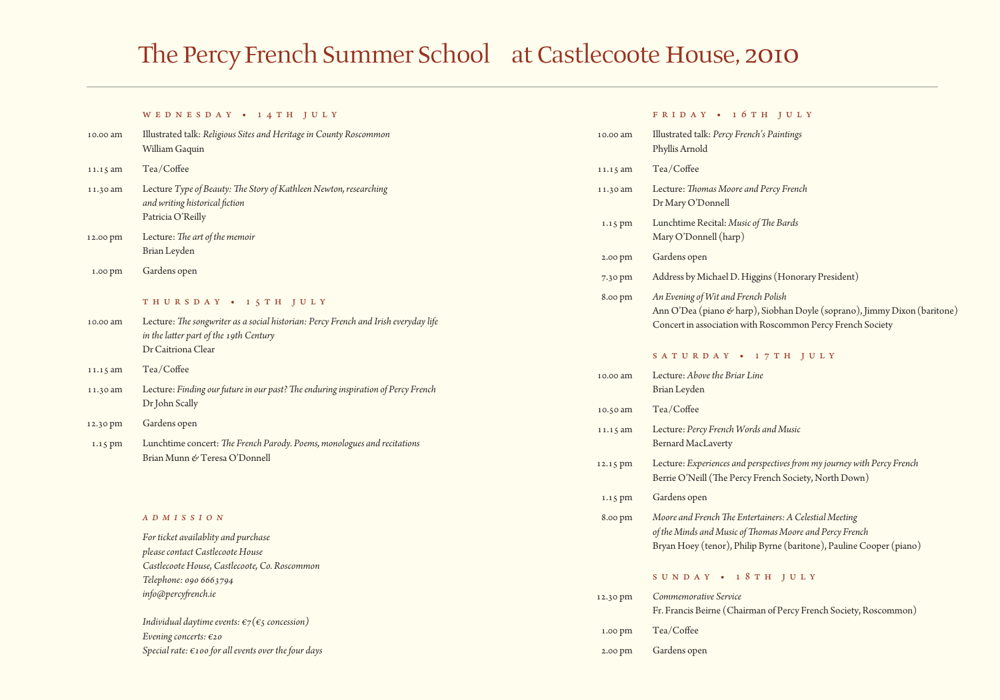# The Percy French Summer School at Castlecoote House, 2010

#### WED NESDAY • 14TH JULY

| 10.00 am | Illustrated talk: Religious Sites and Heritage in County Roscommon<br>William Gaquin                                     |
|----------|--------------------------------------------------------------------------------------------------------------------------|
| 11.15 am | Tea/Coffee                                                                                                               |
| 11.30 am | Lecture Type of Beauty: The Story of Kathleen Newton, researching<br>and writing historical fiction<br>Patricia O'Reilly |
| 12.00 pm | Lecture: The art of the memoir                                                                                           |

- Brian Leyden
- 1.00 pm Gardens open

### THURSDAY • 15TH JULY

- 10.00 am Lecture: *Eesongwriter as a social historian: Percy French and Irish everydaylife in thelaIer part of the 19th Century* Dr Caitriona Clear
- 11.15 am Tea/Coffee
- 11.30 am Lecture: *Finding ourfuturein our past?Eeenduringinspiration of Percy French* Dr John Scally
- 12.30 pm Gardens open
- 1.15 pm Lunchtime concert:*Ee French Parody. Poems, monologues and recitations* Brian Munn *&* Teresa O'Donnell

#### *a d m i s s i o n*

*Forticket availablity and purchase pleasecontact Castlecoote House Castlecoote House, Castlecoote, Co. Roscommon Telephone: 090 6663794*  $info$ @percyfrench.ie

*Individual daytime events:*  $\epsilon_7(\epsilon_5)$  *concession*) *Evening concerts:* €20 *Specialrate: €100 for allevents overthefour days*

#### FRIDAY • 16TH JULY

| 10.00 am | Illustrated talk: Percy French's Paintings<br>Phyllis Arnold                                                                                                                             |
|----------|------------------------------------------------------------------------------------------------------------------------------------------------------------------------------------------|
| 11.15 am | Tea/Coffee                                                                                                                                                                               |
| 11.30 am | Lecture: Thomas Moore and Percy French<br>Dr Mary O'Donnell                                                                                                                              |
| 1.15 pm  | Lunchtime Recital: Music of The Bards<br>Mary O'Donnell (harp)                                                                                                                           |
| 2.00 pm  | Gardens open                                                                                                                                                                             |
| 7.30 pm  | Address by Michael D. Higgins (Honorary President)                                                                                                                                       |
| 8.00 pm  | An Evening of Wit and French Polish<br>Ann O'Dea (piano & harp), Siobhan Doyle (soprano), Jimmy Dixon (baritone)<br>Concert in association with Roscommon Percy French Society           |
|          | SATURDAY • 17TH JULY                                                                                                                                                                     |
| 10.00 am | Lecture: Above the Briar Line<br>Brian Leyden                                                                                                                                            |
| 10.50 am | Tea/Coffee                                                                                                                                                                               |
| 11.15 am | Lecture: Percy French Words and Music<br><b>Bernard MacLaverty</b>                                                                                                                       |
| 12.15 pm | Lecture: Experiences and perspectives from my journey with Percy French<br>Berrie O'Neill (The Percy French Society, North Down)                                                         |
| 1.15 pm  | Gardens open                                                                                                                                                                             |
| 8.00 pm  | Moore and French The Entertainers: A Celestial Meeting<br>of the Minds and Music of Thomas Moore and Percy French<br>Bryan Hoey (tenor), Philip Byrne (baritone), Pauline Cooper (piano) |
|          | SUNDAY • 18TH JULY                                                                                                                                                                       |
| 12.30 pm | Commemorative Service<br>Fr. Francis Beirne (Chairman of Percy French Society, Roscommon)                                                                                                |
| 1.00 pm  | Tea/Coffee                                                                                                                                                                               |

2.00 pm Gardens open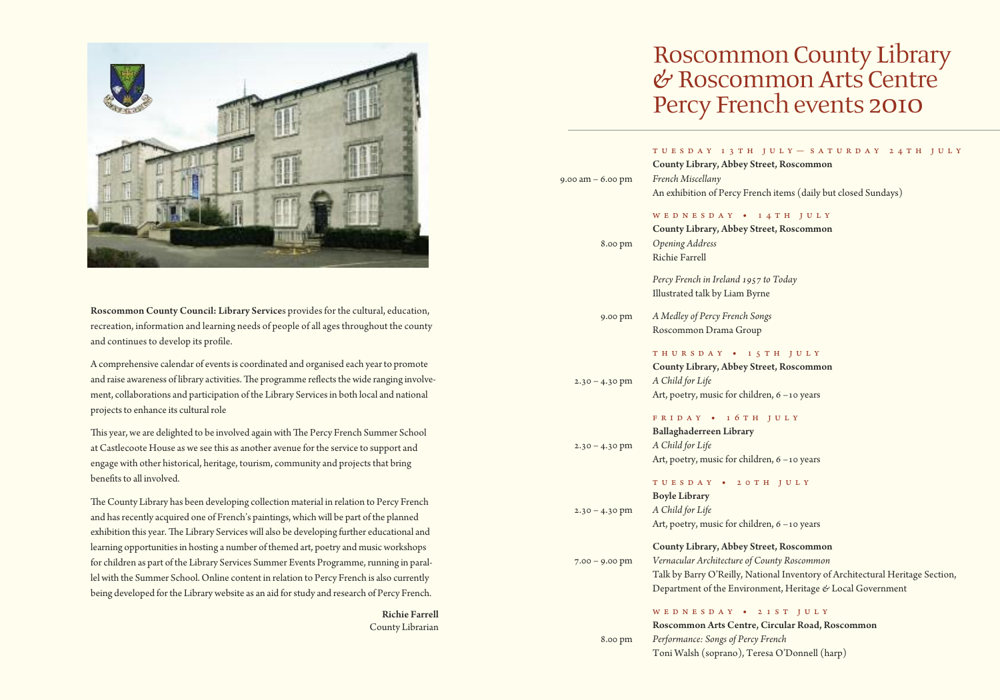

Roscommon County Council: Library Services provides for the cultural, education, recreation, information and learning needs of people of all ages throughout the county and continues to develop its profile.

A comprehensive calendar of eventsis coordinated and organised each yearto promote and raise awareness of library activities. The programme reflects the wide ranging involvement, collaborations and participation of the Library Servicesin both local and national projects to enhance its cultural role

This year, we are delighted to be involved again with The Percy French Summer School at Castlecoote House as we see this as another avenue for the service to support and engage with other historical, heritage, tourism, community and projects that bring benefits to all involved.

The County Library has been developing collection material in relation to Percy French and hasrecently acquired one of French's paintings, which will be part of the planned exhibition this year. The Library Services will also be developing further educational and learning opportunities in hosting a number of themed art, poetry and music workshops for children as part of the Library Services Summer Events Programme, running in parallel with the Summer School. Online content in relation to Percy French is also currently being developed for the Library website as an aid for study and research of Percy French.

> Richie Farrell County Librarian

# Roscommon County Library<br>& Roscommon Arts Centre Percy French events 2010

| $9.00$ am $-6.00$ pm | TUESDAY 13TH JULY - SATURDAY 24TH JULY<br>County Library, Abbey Street, Roscommon<br>French Miscellany<br>An exhibition of Percy French items (daily but closed Sundays)                                                              |
|----------------------|---------------------------------------------------------------------------------------------------------------------------------------------------------------------------------------------------------------------------------------|
| 8.00 pm              | WEDNESDAY • 14TH JULY<br>County Library, Abbey Street, Roscommon<br><b>Opening Address</b><br><b>Richie Farrell</b>                                                                                                                   |
|                      | Percy French in Ireland 1957 to Today<br>Illustrated talk by Liam Byrne                                                                                                                                                               |
| 9.00 pm              | A Medley of Percy French Songs<br>Roscommon Drama Group                                                                                                                                                                               |
| $2.30 - 4.30$ pm     | THURSDAY • 15TH JULY<br>County Library, Abbey Street, Roscommon<br>A Child for Life<br>Art, poetry, music for children, 6 -10 years                                                                                                   |
| $2.30 - 4.30$ pm     | FRIDAY • 16TH JULY<br>Ballaghaderreen Library<br>A Child for Life<br>Art, poetry, music for children, 6 -10 years                                                                                                                     |
| $2.30 - 4.30$ pm     | TUESDAY • 20TH JULY<br><b>Boyle Library</b><br>A Child for Life<br>Art, poetry, music for children, 6 -10 years                                                                                                                       |
| $7.00 - 9.00$ pm     | County Library, Abbey Street, Roscommon<br>Vernacular Architecture of County Roscommon<br>Talk by Barry O'Reilly, National Inventory of Architectural Heritage Section,<br>Department of the Environment, Heritage & Local Government |
|                      |                                                                                                                                                                                                                                       |

### w e d n e s d a y • 2 1 s t J u l y

Roscommon Arts Centre, Circular Road, Roscommon 8.00 pm *Performance: Songs of Percy French* Toni Walsh (soprano), Teresa O'Donnell (harp)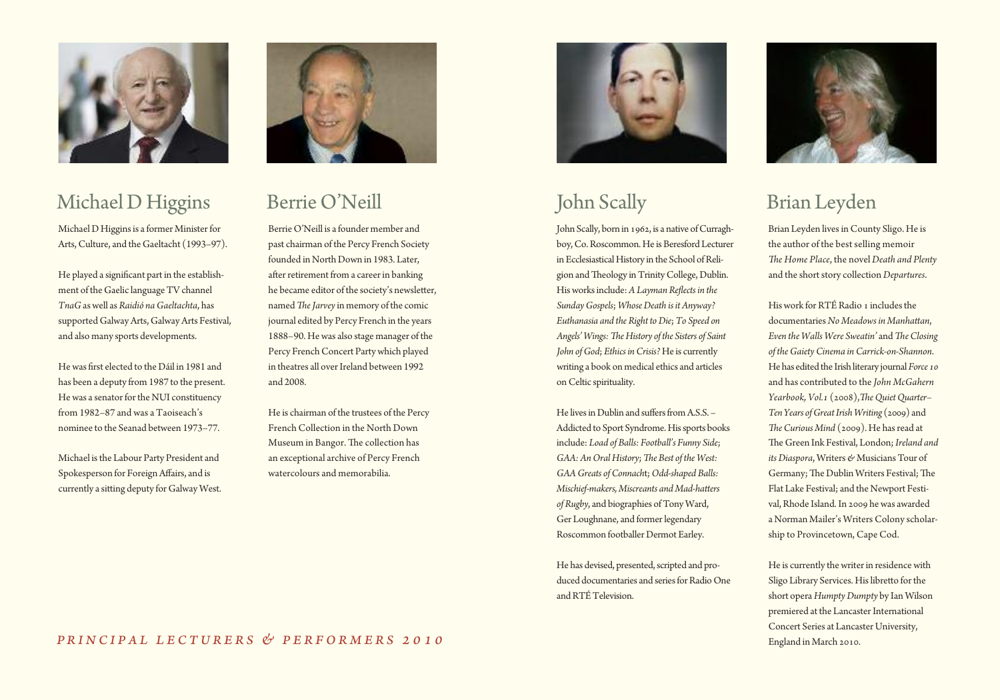

# Michael D Higgins

Michael D Higgins is a former Minister for Arts, Culture, and the Gaeltacht (1993-97).

He played a significant part in the establishment of the Gaelic language TV channel *TnaG*aswell as *Raidió naGaeltachta*, has supported GalwayArts, GalwayArts Festival, and also many sports developments.

He was first elected to the Dáil in 1981 and has been a deputy from 1987 to the present. He was a senator for the NUI constituency from 1982–87 and was a Taoiseach's nominee to the Seanad between 1973–77.

Michael is the Labour Party President and Spokesperson for ForeignAffairs, and is currently a sitting deputy for Galway West.



# Berrie O'Neill

Berrie O'Neill is a founder member and past chairman of the Percy French Society founded in North Down in 1983. Later, after retirement from a career in banking he became editor of the society's newsletter, named *The Jarvey* in memory of the comic journal edited by Percy French in the years 1888–90. Hewas also stage manager of the Percy French Concert Party which played in theatres all over Ireland between 1992 and 2008.

He is chairman of the trustees of the Percy French Collection in the North Down Museum in Bangor. The collection has an exceptional archive of Percy French watercolours and memorabilia.



# John Scally

John Scally, born in 1962, is a native of Curraghboy, Co. Roscommon. He is Beresford Lecturer in Ecclesiastical History in the School of Religion and Theology in Trinity College, Dublin. Hisworksinclude: *A Layman ReGects in the SundayGospels*; *WhoseDeath is it Anyway? Euthanasia and the Right toDie*;*To Speed on Angels'Wings:EeHistory of the Sisters of Saint John ofGod*; *Ethics inCrisis?* He is currently writing a book on medical ethics and articles onCeltic spirituality.

He lives in Dublin and suffers from  $A.S.S. -$ Addicted to Sport Syndrome. His sports books include: *Load of Balls: Football's Funny Side*; *GAA: An Oral History; The Best of the West: GAAGreats ofConnach*t;*Odd-shaped Balls: Mischief-makers, Miscreants and Mad-haIers* of Rugby, and biographies of Tony Ward, Ger Loughnane, and former legendary Roscommon footballer Dermot Earley.

He has devised, presented, scripted and produced documentaries and series for Radio One and RTÉ Television.



# Brian Leyden

Brian Leyden lives in County Sligo. He is the author of the best selling memoir *Ee Home Place*, the novel*Death and Plenty* and the short story collection Departures.

His work for RTÉ Radio 1 includes the documentaries *No Meadows in ManhaIan*, *Even the Walls Were Sweatin'* and *The Closing of theGaietyCinema inCarrick-on-Shannon*. He has edited the Irish literary journal Force 10 and has contributed to the *John McGahern Yearbook, Vol.1* (2008),*EeQuietQuarter– Ten Years ofGreatIrishWriting* (2009) and *The Curious Mind* (2009). He has read at Re Green Ink Festival, London;*Ireland and its Diaspora*, Writers & Musicians Tour of Germany; The Dublin Writers Festival; The Flat Lake Festival; and the Newport Festival,Rhode Island.In 2009 hewas awarded a Norman Mailer's Writers Colony scholarship to Provincetown, Cape Cod.

He is currently the writer in residence with Sligo Library Services. His libretto for the short opera *Humpty Dumpty* by Ian Wilson premiered at the Lancaster International Concert Series at Lancaster University, England in March 2010.

### *Pr inc i p a l l e c tur e r s & p e r forme r s 2 0 1 0*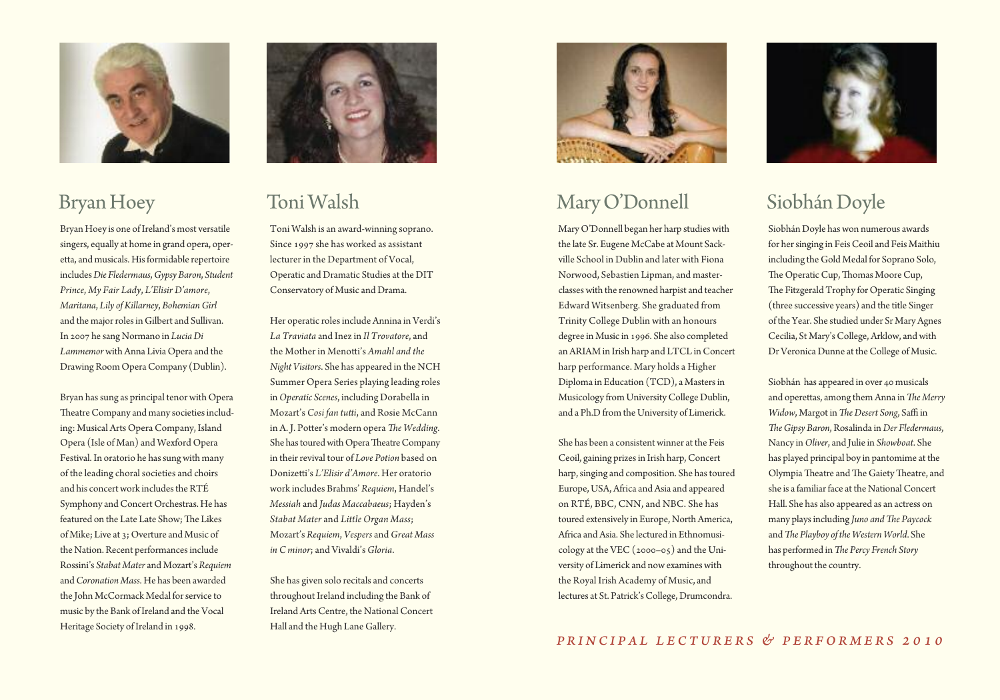

### Bryan Hoey

Bryan Hoey is one of Ireland's most versatile singers, equally at home in grand opera, operetta, and musicals. His formidable repertoire includes*Die Fledermaus*,*Gypsy Baron*, *Student Prince*, *My Fair Lady*, *L'Elisir D'amore*, *Maritana*, *Lily ofKillarney*, *BohemianGirl* and the major roles in Gilbert and Sullivan. In 2007 he sang Normano in *LuciaDi* Lammemor with Anna Livia Opera and the Drawing Room Opera Company (Dublin).

Bryan has sung as principal tenor with Opera Theatre Company and many societies including: Musical Arts Opera Company, Island Opera (Isle of Man) and Wexford Opera Festival. In oratorio he has sung with many of the leading choralsocieties and choirs and his concert work includes the RTÉ Symphony and Concert Orchestras. He has featured on the Late Late Show; The Likes of Mike; Live at 3; Overture and Music of the Nation. Recent performances include Rossini's *Stabat Mater* and Mozart's *Requiem* and*Coronation Mass*. He has been awarded the John McCormack Medal for service to music by the Bank of Ireland and the Vocal Heritage Society of Ireland in 1998.



### Toni Walsh

Toni Walsh is an award-winning soprano. Since 1997 she has worked as assistant lecturer in the Department of Vocal, Operatic and Dramatic Studies at the DIT Conservatory of Music and Drama.

Her operatic roles include Annina in Verdi's *La Traviata* and Inezin *Il Trovatore*, and the Mother in Menotti's *Amahl and the Night Visitors*. She has appeared in the NCH Summer Opera Series playing leading roles in*Operatic Scenes*, including Dorabella in Mozart's *Cosi fan tutti*, and Rosie McCann in A. J. Potter's modern opera *The Wedding*. She has toured with Opera Theatre Company in their revival tour of *Love Potion* based on Donizetti's *L'Elisir d'Amore*. Her oratorio work includes Brahms' *Requiem*, Handel's *Messiah* and *Judas Maccabaeus*; Hayden's *Stabat Mater* and *Little Organ Mass*; Mozart's *Requiem*, *Vespers* and *Great Mass in C minor*; and Vivaldi's *Gloria*.

She has given solo recitals and concerts throughout Ireland including the Bank of Ireland Arts Centre, the National Concert Hall and the Hugh Lane Gallery.



# MaryO'Donnell

Mary O'Donnell began her harp studies with the late Sr. Eugene McCabe at Mount Sackville School in Dublin and later with Fiona Norwood, Sebastien Lipman, and masterclasseswith the renowned harpist and teacher Edward Witsenberg. She graduated from Trinity College Dublin with an honours degree in Music in 1996. She also completed an ARIAM in Irish harp and LTCL in Concert harp performance. Mary holds a Higher Diploma in Education (TCD), a Mastersin Musicology from UniversityCollege Dublin, and a Ph.D from the University of Limerick.

She has been a consistent winner at the Feis Ceoil, gaining prizesin Irish harp,Concert harp, singing and composition. She has toured Europe, USA, Africa and Asia and appeared on RTÉ, BBC, CNN, and NBC. She has toured extensively in Europe, North America, Africa andAsia. She lectured in Ethnomusicology at the VEC (2000–05) and the University of Limerick and nowexamineswith the Royal Irish Academy of Music, and lectures at St. Patrick's College, Drumcondra.



# SiobhánDoyle

Siobhán Doyle haswon numerous awards for her singing in Feis Ceoil and Feis Maithiu including the Gold Medal for Soprano Solo, The Operatic Cup, Thomas Moore Cup, The Fitzgerald Trophy for Operatic Singing (three successive years) and the title Singer of the Year. She studied under Sr MaryAgnes Cecilia, St Mary's College, Arklow, and with Dr Veronica Dunne at the College of Music.

Siobhán has appeared in over 40 musicals and operettas, among them Anna in *The Merry Widow*, Margot in *The Desert Song*, Saffi in *EeGipsy Baron*,Rosalinda in*Der Fledermaus*, Nancy in*Oliver*, and Julie in *Showboat*. She has played principal boy in pantomime at the Olympia Theatre and The Gaiety Theatre, and she is a familiar face at the National Concert Hall. She has also appeared as an actress on many plays including *Juno* and *The Paycock* and*Ee Playboy of the Western World*. She has performed in*Ee Percy French Story* throughout the country.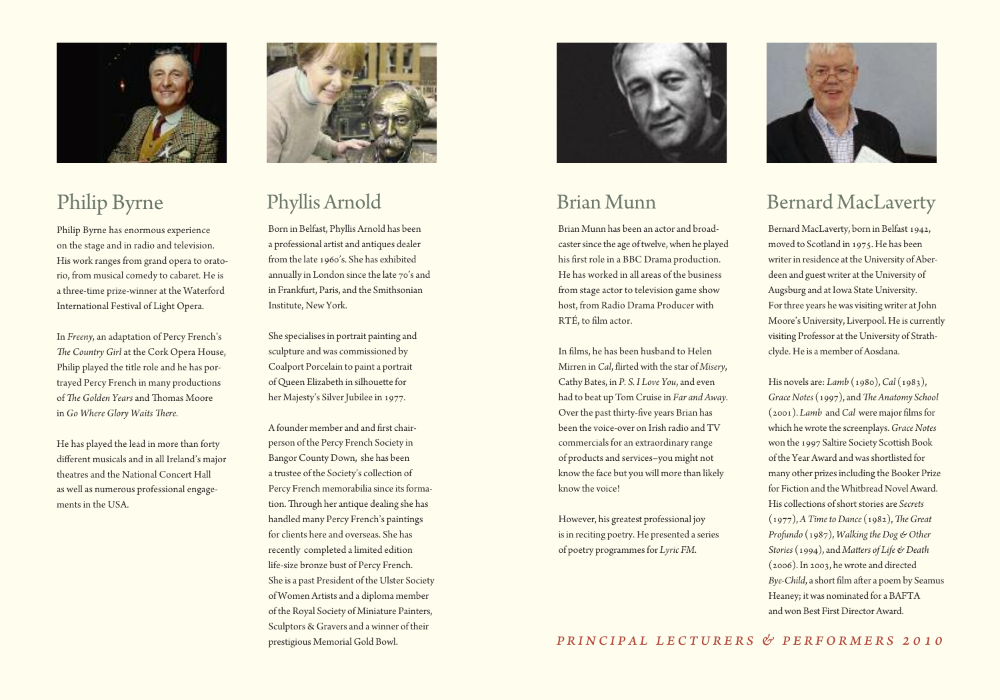

# Philip Byrne

Philip Byrne has enormous experience on the stage and in radio and television. His work ranges from grand opera to oratorio, from musical comedy to cabaret. He is a three-time prize-winner at the Waterford International Festival of Light Opera.

In *Freeny*, an adaptation of Percy French's The Country Girl at the Cork Opera House, Philip played the title role and he has portrayed Percy French in many productions of *Ee Golden Years* and Romas Moore in *Go Where Glory Waits Eere*.

He has played the lead in more than forty different musicals and in all Ireland's major theatres and the National Concert Hall as well as numerous professional engagements in the USA.



# Phyllis Arnold

Born in Belfast, Phyllis Arnold has been a professional artist and antiques dealer from the late 1960's. She has exhibited annually in London since the late 70's and in Frankfurt, Paris, and the Smithsonian Institute, New York.

She specialises in portrait painting and sculpture and was commissioned by Coalport Porcelain to paint a portrait of Oueen Elizabeth in silhouette for her Majesty's SilverJubilee in 1977.

A founder member and and first chairperson of the Percy French Society in Bangor County Down, she has been a trustee of the Society's collection of Percy French memorabilia since its formation. Through her antique dealing she has handled many Percy French's paintings for clients here and overseas. She has recently completed a limited edition life-size bronze bust of Percy French. She is a past President of the Ulster Society of Women Artists and a diploma member of the Royal Society of Miniature Painters, Sculptors & Gravers and a winner of their prestigious Memorial Gold Bowl.



# Brian Munn

Brian Munn has been an actor and broadcaster since the age of twelve, when he played his first role in a BBC Drama production. He has worked in all areas of the business from stage actor to television game show host, from Radio Drama Producer with RTÉ, to film actor.

In films, he has been husband to Helen Mirren in *Cal*, flirted with the star of *Misery*, Cathy Bates, in *P. S. I Love You*, and even had to beat up Tom Cruise in *Far and Away*. Over the past thirty-five years Brian has been the voice-over on Irish radio and TV commercials for an extraordinary range of products and services–you might not know the face but you will more than likely know the voice!

However, his greatest professional joy is in reciting poetry. He presented a series of poetry programmesfor *Lyric FM*.



# Bernard MacLaverty

Bernard MacLaverty, born in Belfast 1942, moved to Scotland in 1975. He has been writer in residence at the University of Aberdeen and guestwriter at the University of Augsburg and at Iowa State University. For three years he was visiting writer at John Moore's University, Liverpool. He is currently visiting Professor at the University of Strathclyde. He is a member of Aosdana.

His novels are: *Lamb* (1980),*Cal* (1983), *Grace Notes* (1997), and *The Anatomy School* (2001). *Lamb* and *Cal* were major films for which hewrote the screenplays.*Grace Notes* won the 1997 Saltire Society Scottish Book of the Year Award and was shortlisted for many other prizesincluding the Booker Prize for Fiction and the Whitbread Novel Award. His collections of short stories are *Secrets*  $(1977)$ , *A Time to Dance*  $(1982)$ *, The Great Profundo* (1987), *WalkingtheDog & Other Stories* (1994), and *MaIers of Life & Death* (2006).In 2003, hewrote and directed *Bye-Child*, a short film after a poem by Seamus Heaney; itwas nominated for a BAFTA and won Best First Director Award.

*Pr inc i p a l l e c tur e r s & p e r forme r s 2 0 1 0*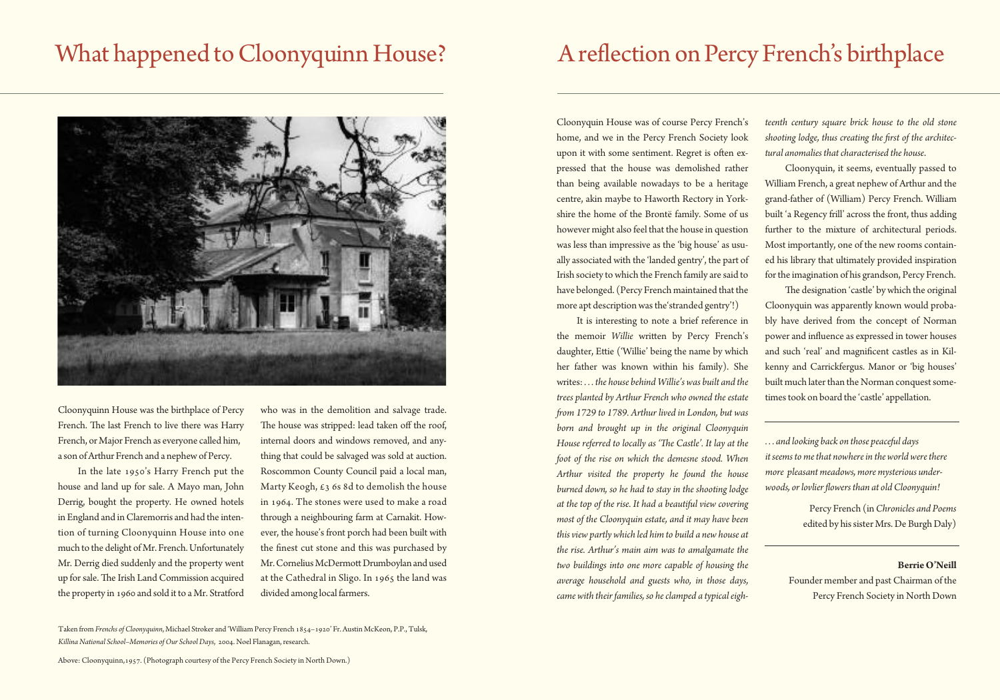# What happened to Cloonyquinn House?



Cloonyquinn House was the birthplace of Percy French. The last French to live there was Harry French, or Major French as everyone called him, a son of Arthur French and a nephew of Percy.

In the late 1950's Harry French put the house and land up for sale. A Mayo man, John Derrig, bought the property. He owned hotels in England and in Claremorris and had the intention of turning Cloonyquinn House into one much to the delight of Mr. French. Unfortunately Mr. Derrig died suddenly and the property went up for sale. The Irish Land Commission acquired the property in 1960 and sold it to a Mr. Stratford

who was in the demolition and salvage trade. The house was stripped: lead taken off the roof, internal doors and windows removed, and anything that could be salvaged was sold at auction. Roscommon County Council paid a local man, Marty Keogh,  $\epsilon_3$  6s 8d to demolish the house in 1964. The stones were used to make a road through a neighbouring farm at Carnakit. However, the house's front porch had been built with the finest cut stone and this was purchased by Mr. Cornelius McDermott Drumboylan and used at the Cathedral in Sligo. In 1965 the land was divided among local farmers.

Taken from *Frenchs ofCloonyquinn*, Michael Stroker and 'William Percy French 1854–1920' Fr.Austin McKeon, P.P.,Tulsk, *Killina National School–Memories ofOur SchoolDays*, 2004. Noel Flanagan,research.

Above: Cloonyquinn,1957. (Photograph courtesy of the Percy French Society in North Down.)

# A reflection on Percy French's birthplace

Cloonyquin House was of course Percy French's home, and we in the Percy French Society look upon it with some sentiment. Regret is often expressed that the house was demolished rather than being available nowadays to be a heritage centre, akin maybe to Haworth Rectory in Yorkshire the home of the Brontë family. Some of us however might also feel that the house in question was less than impressive as the 'big house' as usually associated with the 'landed gentry', the part of Irish society towhich the French family are said to have belonged. (Percy French maintained that the more apt description was the 'stranded gentry'!)

It is interesting to note a brief reference in the memoir *Willie* written by Percy French's daughter, Ettie ('Willie' being the name by which her father was known within his family). She writes: *. . . the house behind Willie's was built and the trees planted by Arthur French who owned the estate Hom 1729 to 1789. Arthur lived in London, but was born and brought up in the original Cloonyquin House referred to locally as 'Ee Castle'. It lay at the foot of the rise on which the demesne stood. When Arthur visited the property he found the house burned down, so he had to stay in the shooting lodge at the top of the rise. It had a beautiful view covering most of the Cloonyquin estate, and it may have been thisview partly which led him to build a new house at the rise. Arthur's main aim was to amalgamate the two buildings into one more capable of housing the average household and guests who, in those days,*  $c$ ame with their families, so he clamped a typical eigh*teenth century square brick house to the old stone shooting lodge, thus creating the Frst of the architectural anomalies thatcharacterised the house*.

Cloonyquin, it seems, eventually passed to William French, a great nephew of Arthur and the grand-father of (William) Percy French. William built 'a Regency frill' across the front, thus adding further to the mixture of architectural periods. Most importantly, one of the new rooms contained his library that ultimately provided inspiration for the imagination of his grandson, Percy French.

The designation 'castle' by which the original Cloonyquin was apparently known would probably have derived from the concept of Norman power and influence as expressed in tower houses and such 'real' and magnificent castles as in Kilkenny and Carrickfergus. Manor or 'big houses' built much later than the Norman conquest sometimes took on board the 'castle' appellation.

*. . . and looking back on those peaceful days it seems to methat nowherein the world werethere more pleasant meadows, more mysterious underwoods, orlovlier Gowers than at oldCloonyquin!*

> Percy French (in*Chronicles and Poems* edited by his sister Mrs. De Burgh Daly)

### **BerrieO'Neill**

Founder member and past Chairman of the Percy French Society in North Down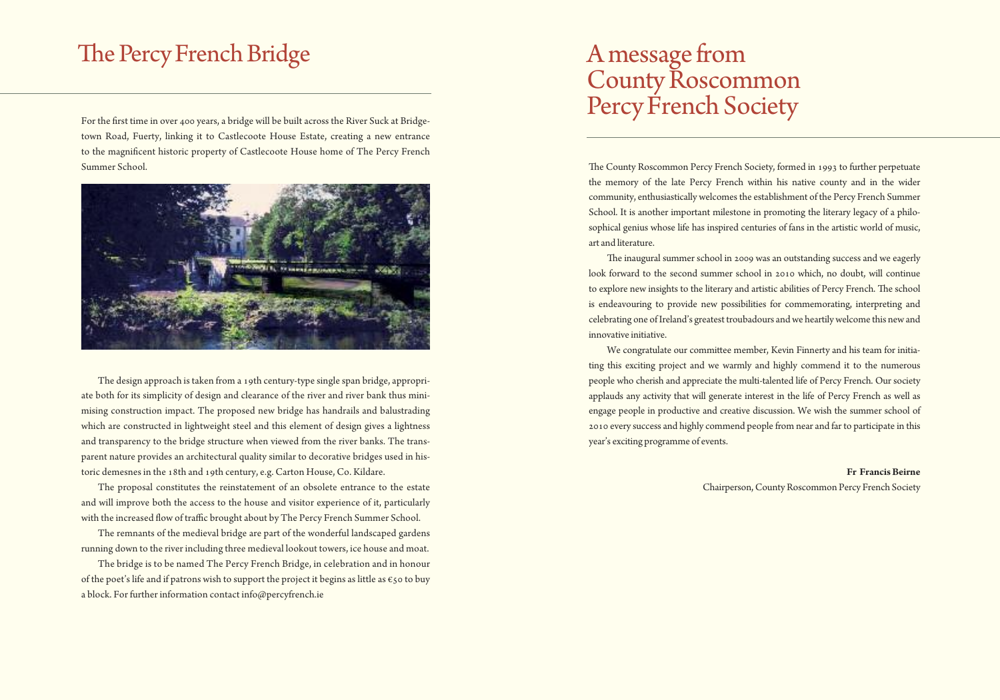# The Percy French Bridge

For the first time in over 400 years, a bridge will be built across the River Suck at Bridgetown Road, Fuerty, linking it to Castlecoote House Estate, creating a new entrance to the magnificent historic property of Castlecoote House home of The Percy French Summer School.



The design approach is taken from a 19th century-type single span bridge, appropriate both for its simplicity of design and clearance of the river and river bank thus minimising construction impact. The proposed new bridge has handrails and balustrading which are constructed in lightweight steel and this element of design gives a lightness and transparency to the bridge structure when viewed from the river banks. The transparent nature provides an architectural quality similar to decorative bridges used in historic demesnes in the 18th and 19th century, e.g. Carton House, Co. Kildare.

The proposal constitutes the reinstatement of an obsolete entrance to the estate and will improve both the access to the house and visitor experience of it, particularly with the increased flow of traffic brought about by The Percy French Summer School.

The remnants of the medieval bridge are part of the wonderful landscaped gardens running down to the river including three medieval lookout towers, ice house and moat.

The bridge is to be named The Percy French Bridge, in celebration and in honour of the poet's life and if patrons wish to support the project it begins as little as  $\epsilon$ 50 to buy a block. For further information contact info@percyfrench.ie

# Amessage from County Roscommon Percy French Society

The County Roscommon Percy French Society, formed in 1993 to further perpetuate the memory of the late Percy French within his native county and in the wider community, enthusiastically welcomes the establishment of the Percy French Summer School. It is another important milestone in promoting the literary legacy of a philosophical genius whose life has inspired centuries of fans in the artistic world of music, art and literature.

The inaugural summer school in 2009 was an outstanding success and we eagerly look forward to the second summer school in 2010 which, no doubt, will continue to explore new insights to the literary and artistic abilities of Percy French. The school is endeavouring to provide new possibilities for commemorating, interpreting and celebrating one of Ireland's greatest troubadours and we heartily welcome this new and innovative initiative.

We congratulate our committee member, Kevin Finnerty and his team for initiating this exciting project and we warmly and highly commend it to the numerous people who cherish and appreciate the multi-talented life of Percy French. Our society applauds any activity that will generate interest in the life of Percy French as well as engage people in productive and creative discussion. We wish the summer school of 2010 every success and highly commend people from near and far to participate in this year's exciting programme of events.

> **Fr FrancisBeirne** Chairperson,CountyRoscommon Percy French Society